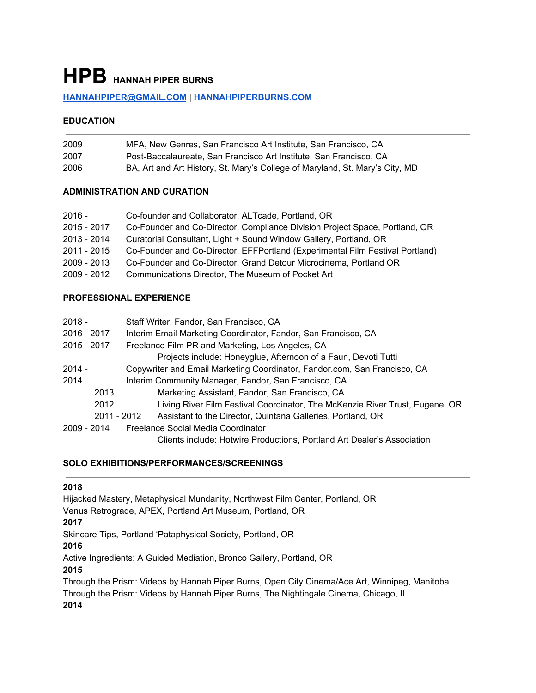# **HPB HANNAH PIPER BURNS**

#### **[HANNAHPIPER@GMAIL.COM](mailto:HANNAHPIPER@GMAIL.COM)** | **[HANNAHPIPERBURNS.COM](http://www.hannahpiperburns.com/)**

#### **EDUCATION**

| 2009 | MFA, New Genres, San Francisco Art Institute, San Francisco, CA              |
|------|------------------------------------------------------------------------------|
| 2007 | Post-Baccalaureate. San Francisco Art Institute. San Francisco. CA           |
| 2006 | BA, Art and Art History, St. Mary's College of Maryland, St. Mary's City, MD |

#### **ADMINISTRATION AND CURATION**

| Co-founder and Collaborator, ALT cade, Portland, OR                           |
|-------------------------------------------------------------------------------|
| Co-Founder and Co-Director, Compliance Division Project Space, Portland, OR   |
| Curatorial Consultant, Light + Sound Window Gallery, Portland, OR             |
| Co-Founder and Co-Director, EFFPortland (Experimental Film Festival Portland) |
| Co-Founder and Co-Director, Grand Detour Microcinema, Portland OR             |
| Communications Director, The Museum of Pocket Art                             |
|                                                                               |

# **PROFESSIONAL EXPERIENCE**

| $2018 -$    | Staff Writer, Fandor, San Francisco, CA                                      |
|-------------|------------------------------------------------------------------------------|
| 2016 - 2017 | Interim Email Marketing Coordinator, Fandor, San Francisco, CA               |
| 2015 - 2017 | Freelance Film PR and Marketing, Los Angeles, CA                             |
|             | Projects include: Honeyglue, Afternoon of a Faun, Devoti Tutti               |
| $2014 -$    | Copywriter and Email Marketing Coordinator, Fandor.com, San Francisco, CA    |
| 2014        | Interim Community Manager, Fandor, San Francisco, CA                         |
| 2013        | Marketing Assistant, Fandor, San Francisco, CA                               |
| 2012        | Living River Film Festival Coordinator, The McKenzie River Trust, Eugene, OR |
| 2011 - 2012 | Assistant to the Director, Quintana Galleries, Portland, OR                  |
| 2009 - 2014 | Freelance Social Media Coordinator                                           |
|             | Clients include: Hotwire Productions, Portland Art Dealer's Association      |

#### **SOLO EXHIBITIONS/PERFORMANCES/SCREENINGS**

# 

Hijacked Mastery, Metaphysical Mundanity, Northwest Film Center, Portland, OR Venus Retrograde, APEX, Portland Art Museum, Portland, OR Skincare Tips, Portland 'Pataphysical Society, Portland, OR Active Ingredients: A Guided Mediation, Bronco Gallery, Portland, OR Through the Prism: Videos by Hannah Piper Burns, Open City Cinema/Ace Art, Winnipeg, Manitoba

Through the Prism: Videos by Hannah Piper Burns, The Nightingale Cinema, Chicago, IL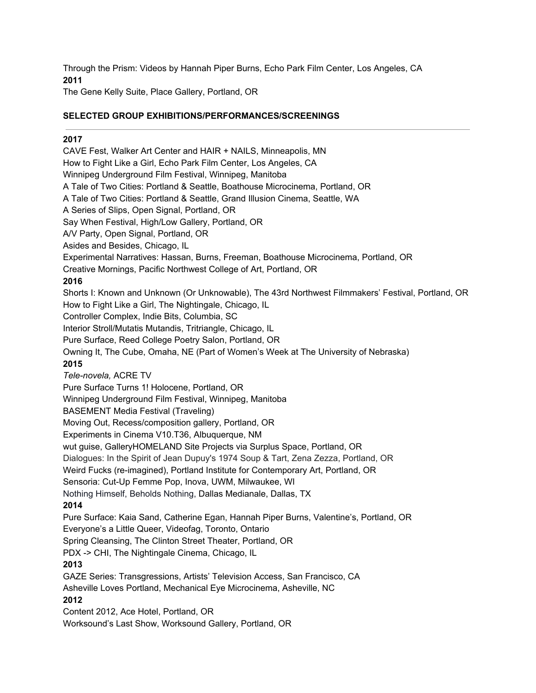Through the Prism: Videos by Hannah Piper Burns, Echo Park Film Center, Los Angeles, CA **2011**

The Gene Kelly Suite, Place Gallery, Portland, OR

# **SELECTED GROUP EXHIBITIONS/PERFORMANCES/SCREENINGS**

### **2017**

CAVE Fest, Walker Art Center and HAIR + NAILS, Minneapolis, MN How to Fight Like a Girl, Echo Park Film Center, Los Angeles, CA Winnipeg Underground Film Festival, Winnipeg, Manitoba A Tale of Two Cities: Portland & Seattle, Boathouse Microcinema, Portland, OR A Tale of Two Cities: Portland & Seattle, Grand Illusion Cinema, Seattle, WA A Series of Slips, Open Signal, Portland, OR Say When Festival, High/Low Gallery, Portland, OR A/V Party, Open Signal, Portland, OR Asides and Besides, Chicago, IL Experimental Narratives: Hassan, Burns, Freeman, Boathouse Microcinema, Portland, OR Creative Mornings, Pacific Northwest College of Art, Portland, OR **201[6](https://nwfilm.org/films/shorts-i-known-and-unknown-or-unknowable/)** Shorts I: Known and Unknown (Or Unknowable), The 43rd Northwest Filmmakers' Festival, Portland, OR How to Fight Like a Girl, The Nightingale, Chicago, IL Controller Complex, Indie Bits, Columbia, SC Interior Stroll/Mutatis Mutandis, Tritriangle, Chicago, IL Pure Surface, Reed College Poetry Salon, Portland, OR Owning It, The Cube, Omaha, NE (Part of Women's Week at The University of Nebraska) **2015** *Tele-novela,* ACRE TV Pure Surface Turns 1! Holocene, Portland, OR Winnipeg Underground Film Festival, Winnipeg, Manitoba BASEMENT Media Festival (Traveling) Moving Out, Recess/composition gallery, Portland, OR Experiments in Cinema V10.T36, Albuquerque, NM wut guise, GalleryHOMELAND Site Projects via Surplus Space, Portland, OR Dialogues: In the Spirit of Jean Dupuy's 1974 Soup & Tart, Zena Zezza, Portland, OR Weird Fucks (re-imagined), Portland Institute for Contemporary Art, Portland, OR Sensoria: Cut-Up Femme Pop, Inova, UWM, Milwaukee, WI Nothing Himself, Beholds Nothing, Dallas Medianale, Dallas, TX **2014** Pure Surface: Kaia Sand, Catherine Egan, Hannah Piper Burns, Valentine's, Portland, OR Everyone's a Little Queer, Videofag, Toronto, Ontario Spring Cleansing, The Clinton Street Theater, Portland, OR PDX -> CHI, The Nightingale Cinema, Chicago, IL **2013** GAZE Series: Transgressions, Artists' Television Access, San Francisco, CA Asheville Loves Portland, Mechanical Eye Microcinema, Asheville, NC **2012** Content 2012, Ace Hotel, Portland, OR Worksound's Last Show, Worksound Gallery, Portland, OR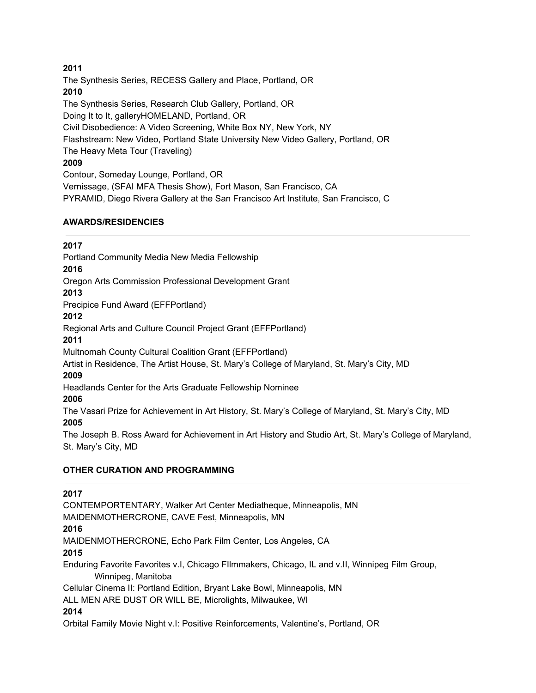The Synthesis Series, RECESS Gallery and Place, Portland, OR **2010** The Synthesis Series, Research Club Gallery, Portland, OR Doing It to It, galleryHOMELAND, Portland, OR Civil Disobedience: A Video Screening, White Box NY, New York, NY Flashstream: New Video, Portland State University New Video Gallery, Portland, OR The Heavy Meta Tour (Traveling) **2009** Contour, Someday Lounge, Portland, OR Vernissage, (SFAI MFA Thesis Show), Fort Mason, San Francisco, CA PYRAMID, Diego Rivera Gallery at the San Francisco Art Institute, San Francisco, C

#### **AWARDS/RESIDENCIES**

**2017**

Portland Community Media New Media Fellowship **2016** Oregon Arts Commission Professional Development Grant **2013** Precipice Fund Award (EFFPortland) **2012** Regional Arts and Culture Council Project Grant (EFFPortland) **2011** Multnomah County Cultural Coalition Grant (EFFPortland) Artist in Residence, The Artist House, St. Mary's College of Maryland, St. Mary's City, MD **2009** Headlands Center for the Arts Graduate Fellowship Nominee **2006**

The Vasari Prize for Achievement in Art History, St. Mary's College of Maryland, St. Mary's City, MD **2005**

The Joseph B. Ross Award for Achievement in Art History and Studio Art, St. Mary's College of Maryland, St. Mary's City, MD

# **OTHER CURATION AND PROGRAMMING**

# **2017** CONTEMPORTENTARY, Walker Art Center Mediatheque, Minneapolis, MN MAIDENMOTHERCRONE, CAVE Fest, Minneapolis, MN **2016** MAIDENMOTHERCRONE, Echo Park Film Center, Los Angeles, CA **2015** Enduring Favorite Favorites v.I, Chicago FIlmmakers, Chicago, IL and v.II, Winnipeg Film Group, Winnipeg, Manitoba Cellular Cinema II: Portland Edition, Bryant Lake Bowl, Minneapolis, MN ALL MEN ARE DUST OR WILL BE, Microlights, Milwaukee, WI **2014**

Orbital Family Movie Night v.I: Positive Reinforcements, Valentine's, Portland, OR

# **2011**